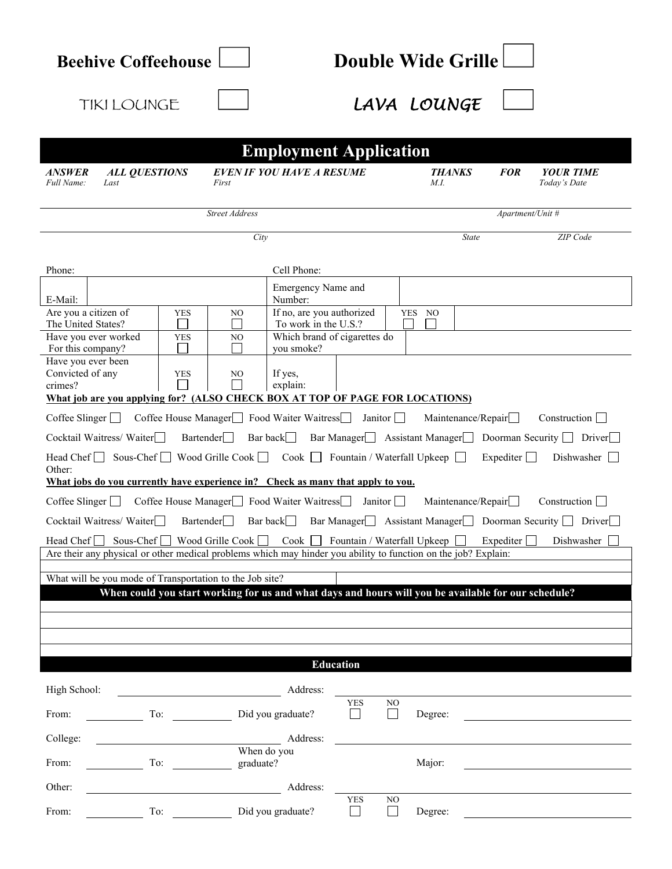| <b>Beehive Coffeehouse</b>                                                                                                                                                                                                              |                                                                                                     | <b>Double Wide Grille</b>                                                         |                               |                           |                  |                                                      |  |  |  |  |  |
|-----------------------------------------------------------------------------------------------------------------------------------------------------------------------------------------------------------------------------------------|-----------------------------------------------------------------------------------------------------|-----------------------------------------------------------------------------------|-------------------------------|---------------------------|------------------|------------------------------------------------------|--|--|--|--|--|
| <b>TIKI LOUNGE</b>                                                                                                                                                                                                                      |                                                                                                     |                                                                                   | LAVA LOUNGE                   |                           |                  |                                                      |  |  |  |  |  |
| <b>Employment Application</b>                                                                                                                                                                                                           |                                                                                                     |                                                                                   |                               |                           |                  |                                                      |  |  |  |  |  |
| <b>ALL QUESTIONS</b><br><b>ANSWER</b><br>Full Name:<br>Last                                                                                                                                                                             | <b>EVEN IF YOU HAVE A RESUME</b><br>First                                                           |                                                                                   | <b>THANKS</b><br><i>M.I.</i>  |                           | <b>FOR</b>       | <b>YOUR TIME</b><br>Today's Date                     |  |  |  |  |  |
|                                                                                                                                                                                                                                         | <b>Street Address</b>                                                                               |                                                                                   |                               |                           | Apartment/Unit # |                                                      |  |  |  |  |  |
|                                                                                                                                                                                                                                         | City                                                                                                |                                                                                   |                               | State<br>ZIP Code         |                  |                                                      |  |  |  |  |  |
| Phone:<br>E-Mail:                                                                                                                                                                                                                       | Cell Phone:<br>Number:                                                                              | Emergency Name and                                                                |                               |                           |                  |                                                      |  |  |  |  |  |
| Are you a citizen of<br><b>YES</b><br>The United States?<br>Have you ever worked<br><b>YES</b><br>For this company?<br>Have you ever been                                                                                               | NO<br>NO<br>you smoke?                                                                              | If no, are you authorized<br>To work in the U.S.?<br>Which brand of cigarettes do | <b>YES</b><br>NO              |                           |                  |                                                      |  |  |  |  |  |
| Convicted of any<br><b>YES</b><br>crimes?                                                                                                                                                                                               | If yes,<br>NO<br>explain:                                                                           |                                                                                   |                               |                           |                  |                                                      |  |  |  |  |  |
| What job are you applying for? (ALSO CHECK BOX AT TOP OF PAGE FOR LOCATIONS)<br>Coffee Slinger Coffee House Manager Food Waiter Waitress Janitor<br>Maintenance/Repair $\Box$<br>Construction $\Box$                                    |                                                                                                     |                                                                                   |                               |                           |                  |                                                      |  |  |  |  |  |
| Cocktail Waitress/Waiter<br>Bartender Bar back Bar Manager Basistant Manager Doorman Security Diver                                                                                                                                     |                                                                                                     |                                                                                   |                               |                           |                  |                                                      |  |  |  |  |  |
| Head Chef $\Box$ Sous-Chef $\Box$ Wood Grille Cook $\Box$ Cook $\Box$ Fountain / Waterfall Upkeep $\Box$<br>Other:<br>What jobs do you currently have experience in? Check as many that apply to you.                                   |                                                                                                     |                                                                                   |                               |                           | Expediter $\Box$ | Dishwasher $\Box$                                    |  |  |  |  |  |
| Coffee Slinger Coffee House Manager Food Waiter Waitress                                                                                                                                                                                |                                                                                                     | Janitor                                                                           |                               | Maintenance/Repair $\Box$ |                  | Construction $\Box$                                  |  |  |  |  |  |
| Cocktail Waitress/Waiter                                                                                                                                                                                                                | <b>Bartender</b><br>Bar back                                                                        |                                                                                   |                               |                           |                  | Bar Manager Assistant Manager Doorman Security Diver |  |  |  |  |  |
| Head $Chef$<br>Are their any physical or other medical problems which may hinder you ability to function on the job? Explain:                                                                                                           | Sous-Chef Wood Grille Cook Cook Geometrical Upkeep Expediter                                        |                                                                                   |                               |                           |                  | Dishwasher                                           |  |  |  |  |  |
|                                                                                                                                                                                                                                         |                                                                                                     |                                                                                   |                               |                           |                  |                                                      |  |  |  |  |  |
| What will be you mode of Transportation to the Job site?                                                                                                                                                                                | When could you start working for us and what days and hours will you be available for our schedule? |                                                                                   |                               |                           |                  |                                                      |  |  |  |  |  |
|                                                                                                                                                                                                                                         |                                                                                                     |                                                                                   |                               |                           |                  |                                                      |  |  |  |  |  |
|                                                                                                                                                                                                                                         |                                                                                                     |                                                                                   |                               |                           |                  |                                                      |  |  |  |  |  |
|                                                                                                                                                                                                                                         |                                                                                                     | <b>Education</b>                                                                  |                               |                           |                  |                                                      |  |  |  |  |  |
| High School:                                                                                                                                                                                                                            | Address:                                                                                            |                                                                                   |                               |                           |                  |                                                      |  |  |  |  |  |
| From:                                                                                                                                                                                                                                   | To: Did you graduate?                                                                               | <b>YES</b><br>$\Box$                                                              | NO<br>$\mathsf{L}$<br>Degree: |                           |                  |                                                      |  |  |  |  |  |
| College:                                                                                                                                                                                                                                | Address:                                                                                            |                                                                                   |                               |                           |                  |                                                      |  |  |  |  |  |
| To: the contract of the contract of the contract of the contract of the contract of the contract of the contract of the contract of the contract of the contract of the contract of the contract of the contract of the contra<br>From: | When do you<br>graduate?                                                                            |                                                                                   | Major:                        |                           |                  |                                                      |  |  |  |  |  |
| Other:                                                                                                                                                                                                                                  | Address:                                                                                            |                                                                                   |                               |                           |                  |                                                      |  |  |  |  |  |
| From:<br>$\Gamma$ o: $\qquad \qquad$                                                                                                                                                                                                    | Did you graduate?                                                                                   | <b>YES</b><br>$\Box$                                                              | NO<br>$\Box$<br>Degree:       |                           |                  |                                                      |  |  |  |  |  |